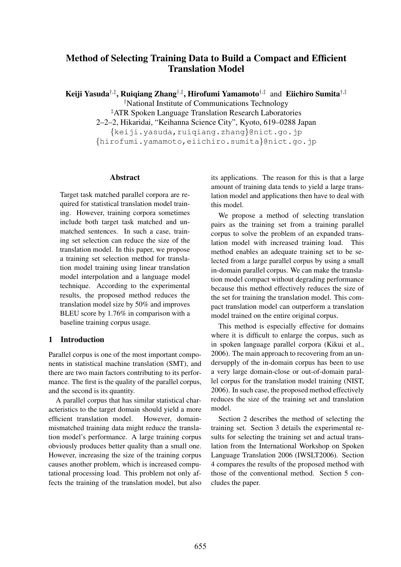# Method of Selecting Training Data to Build a Compact and Efficient Translation Model

Keiji Yasuda<sup>†,‡</sup>, Ruiqiang Zhang<sup>†,‡</sup>, Hirofumi Yamamoto<sup>†,‡</sup> and Eiichiro Sumita<sup>†,‡</sup>

†National Institute of Communications Technology

‡ATR Spoken Language Translation Research Laboratories 2–2–2, Hikaridai, "Keihanna Science City", Kyoto, 619–0288 Japan {keiji.yasuda,ruiqiang.zhang}@nict.go.jp {hirofumi.yamamoto,eiichiro.sumita}@nict.go.jp

### Abstract

Target task matched parallel corpora are required for statistical translation model training. However, training corpora sometimes include both target task matched and unmatched sentences. In such a case, training set selection can reduce the size of the translation model. In this paper, we propose a training set selection method for translation model training using linear translation model interpolation and a language model technique. According to the experimental results, the proposed method reduces the translation model size by 50% and improves BLEU score by 1.76% in comparison with a baseline training corpus usage.

### 1 Introduction

Parallel corpus is one of the most important components in statistical machine translation (SMT), and there are two main factors contributing to its performance. The first is the quality of the parallel corpus, and the second is its quantity.

A parallel corpus that has similar statistical characteristics to the target domain should yield a more efficient translation model. However, domainmismatched training data might reduce the translation model's performance. A large training corpus obviously produces better quality than a small one. However, increasing the size of the training corpus causes another problem, which is increased computational processing load. This problem not only affects the training of the translation model, but also

its applications. The reason for this is that a large amount of training data tends to yield a large translation model and applications then have to deal with this model.

We propose a method of selecting translation pairs as the training set from a training parallel corpus to solve the problem of an expanded translation model with increased training load. This method enables an adequate training set to be selected from a large parallel corpus by using a small in-domain parallel corpus. We can make the translation model compact without degrading performance because this method effectively reduces the size of the set for training the translation model. This compact translation model can outperform a translation model trained on the entire original corpus.

This method is especially effective for domains where it is difficult to enlarge the corpus, such as in spoken language parallel corpora (Kikui et al., 2006). The main approach to recovering from an undersupply of the in-domain corpus has been to use a very large domain-close or out-of-domain parallel corpus for the translation model training (NIST, 2006). In such case, the proposed method effectively reduces the size of the training set and translation model.

Section 2 describes the method of selecting the training set. Section 3 details the experimental results for selecting the training set and actual translation from the International Workshop on Spoken Language Translation 2006 (IWSLT2006). Section 4 compares the results of the proposed method with those of the conventional method. Section 5 concludes the paper.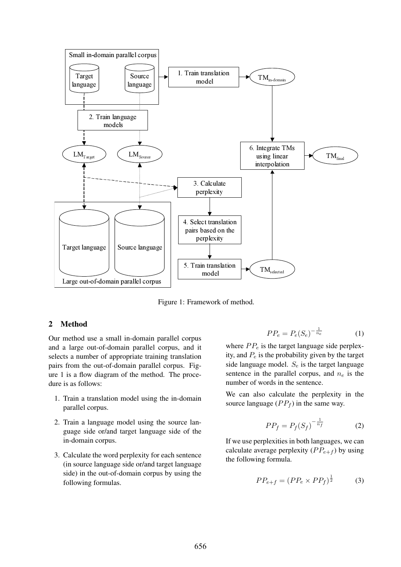

Figure 1: Framework of method.

### 2 Method

Our method use a small in-domain parallel corpus and a large out-of-domain parallel corpus, and it selects a number of appropriate training translation pairs from the out-of-domain parallel corpus. Figure 1 is a flow diagram of the method. The procedure is as follows:

- 1. Train a translation model using the in-domain parallel corpus.
- 2. Train a language model using the source language side or/and target language side of the in-domain corpus.
- 3. Calculate the word perplexity for each sentence (in source language side or/and target language side) in the out-of-domain corpus by using the following formulas.

$$
PP_e = P_e(S_e)^{-\frac{1}{n_e}} \tag{1}
$$

where  $PP_e$  is the target language side perplexity, and  $P_e$  is the probability given by the target side language model.  $S_e$  is the target language sentence in the parallel corpus, and  $n_e$  is the number of words in the sentence.

We can also calculate the perplexity in the source language  $(PP<sub>f</sub>)$  in the same way.

$$
PP_f = P_f(S_f)^{-\frac{1}{n_f}} \tag{2}
$$

If we use perplexities in both languages, we can calculate average perplexity  $(PP_{e+f})$  by using the following formula.

$$
PP_{e+f} = (PP_e \times PP_f)^{\frac{1}{2}} \tag{3}
$$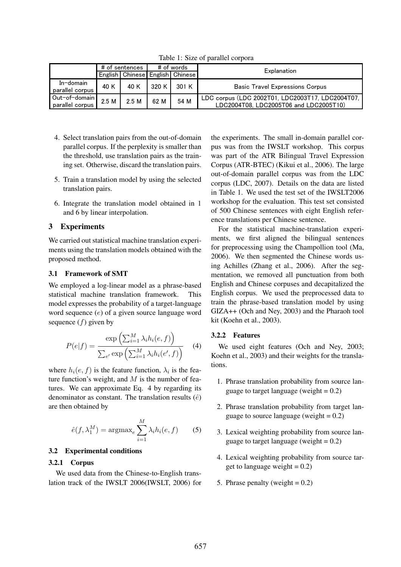|                                  | # of sentences |      | # of words |                                     | Explanation                                                                                |  |
|----------------------------------|----------------|------|------------|-------------------------------------|--------------------------------------------------------------------------------------------|--|
|                                  |                |      |            | English   Chinese English   Chinese |                                                                                            |  |
| $In$ -domain<br>parallel corpus  | 40 K           | 40 K | 320 K I    | 301 K                               | <b>Basic Travel Expressions Corpus</b>                                                     |  |
| Out-of-domain<br>parallel corpus | 2.5M           | 2.5M | 62 M       | 54 M                                | LDC corpus (LDC 2002T01, LDC2003T17, LDC2004T07,<br>LDC2004T08, LDC2005T06 and LDC2005T10) |  |

Table 1: Size of parallel corpora

- 4. Select translation pairs from the out-of-domain parallel corpus. If the perplexity is smaller than the threshold, use translation pairs as the training set. Otherwise, discard the translation pairs.
- 5. Train a translation model by using the selected translation pairs.
- 6. Integrate the translation model obtained in 1 and 6 by linear interpolation.

## 3 Experiments

We carried out statistical machine translation experiments using the translation models obtained with the proposed method.

### 3.1 Framework of SMT

We employed a log-linear model as a phrase-based statistical machine translation framework. This model expresses the probability of a target-language word sequence (e) of a given source language word sequence  $(f)$  given by

$$
P(e|f) = \frac{\exp\left(\sum_{i=1}^{M} \lambda_i h_i(e, f)\right)}{\sum_{e'} \exp\left(\sum_{i=1}^{M} \lambda_i h_i(e', f)\right)}
$$
(4)

where  $h_i(e, f)$  is the feature function,  $\lambda_i$  is the feature function's weight, and  $M$  is the number of features. We can approximate Eq. 4 by regarding its denominator as constant. The translation results  $(\hat{e})$ are then obtained by

$$
\hat{e}(f, \lambda_1^M) = \operatorname{argmax}_e \sum_{i=1}^M \lambda_i h_i(e, f) \qquad (5)
$$

### 3.2 Experimental conditions

### 3.2.1 Corpus

We used data from the Chinese-to-English translation track of the IWSLT 2006(IWSLT, 2006) for

the experiments. The small in-domain parallel corpus was from the IWSLT workshop. This corpus was part of the ATR Bilingual Travel Expression Corpus (ATR-BTEC) (Kikui et al., 2006). The large out-of-domain parallel corpus was from the LDC corpus (LDC, 2007). Details on the data are listed in Table 1. We used the test set of the IWSLT2006 workshop for the evaluation. This test set consisted of 500 Chinese sentences with eight English reference translations per Chinese sentence.

For the statistical machine-translation experiments, we first aligned the bilingual sentences for preprocessing using the Champollion tool (Ma, 2006). We then segmented the Chinese words using Achilles (Zhang et al., 2006). After the segmentation, we removed all punctuation from both English and Chinese corpuses and decapitalized the English corpus. We used the preprocessed data to train the phrase-based translation model by using GIZA++ (Och and Ney, 2003) and the Pharaoh tool kit (Koehn et al., 2003).

### 3.2.2 Features

We used eight features (Och and Ney, 2003; Koehn et al., 2003) and their weights for the translations.

- 1. Phrase translation probability from source language to target language (weight  $= 0.2$ )
- 2. Phrase translation probability from target language to source language (weight  $= 0.2$ )
- 3. Lexical weighting probability from source language to target language (weight  $= 0.2$ )
- 4. Lexical weighting probability from source target to language weight  $= 0.2$ )
- 5. Phrase penalty (weight  $= 0.2$ )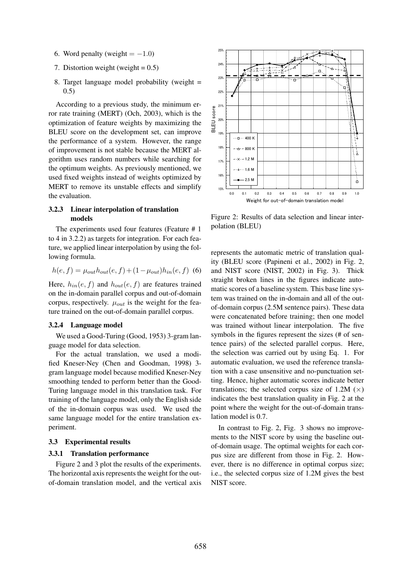- 6. Word penalty (weight  $= -1.0$ )
- 7. Distortion weight (weight  $= 0.5$ )
- 8. Target language model probability (weight = 0.5)

According to a previous study, the minimum error rate training (MERT) (Och, 2003), which is the optimization of feature weights by maximizing the BLEU score on the development set, can improve the performance of a system. However, the range of improvement is not stable because the MERT algorithm uses random numbers while searching for the optimum weights. As previously mentioned, we used fixed weights instead of weights optimized by MERT to remove its unstable effects and simplify the evaluation.

### 3.2.3 Linear interpolation of translation models

The experiments used four features (Feature # 1 to 4 in 3.2.2) as targets for integration. For each feature, we applied linear interpolation by using the following formula.

$$
h(e, f) = \mu_{out} h_{out}(e, f) + (1 - \mu_{out}) h_{in}(e, f)
$$
 (6)

Here,  $h_{in}(e, f)$  and  $h_{out}(e, f)$  are features trained on the in-domain parallel corpus and out-of-domain corpus, respectively.  $\mu_{out}$  is the weight for the feature trained on the out-of-domain parallel corpus.

#### 3.2.4 Language model

We used a Good-Turing (Good, 1953) 3-gram language model for data selection.

For the actual translation, we used a modified Kneser-Ney (Chen and Goodman, 1998) 3 gram language model because modified Kneser-Ney smoothing tended to perform better than the Good-Turing language model in this translation task. For training of the language model, only the English side of the in-domain corpus was used. We used the same language model for the entire translation experiment.

#### 3.3 Experimental results

#### 3.3.1 Translation performance

Figure 2 and 3 plot the results of the experiments. The horizontal axis represents the weight for the outof-domain translation model, and the vertical axis



Figure 2: Results of data selection and linear interpolation (BLEU)

represents the automatic metric of translation quality (BLEU score (Papineni et al., 2002) in Fig. 2, and NIST score (NIST, 2002) in Fig. 3). Thick straight broken lines in the figures indicate automatic scores of a baseline system. This base line system was trained on the in-domain and all of the outof-domain corpus (2.5M sentence pairs). These data were concatenated before training; then one model was trained without linear interpolation. The five symbols in the figures represent the sizes (# of sentence pairs) of the selected parallel corpus. Here, the selection was carried out by using Eq. 1. For automatic evaluation, we used the reference translation with a case unsensitive and no-punctuation setting. Hence, higher automatic scores indicate better translations; the selected corpus size of 1.2M  $(\times)$ indicates the best translation quality in Fig. 2 at the point where the weight for the out-of-domain translation model is 0.7.

In contrast to Fig. 2, Fig. 3 shows no improvements to the NIST score by using the baseline outof-domain usage. The optimal weights for each corpus size are different from those in Fig. 2. However, there is no difference in optimal corpus size; i.e., the selected corpus size of 1.2M gives the best NIST score.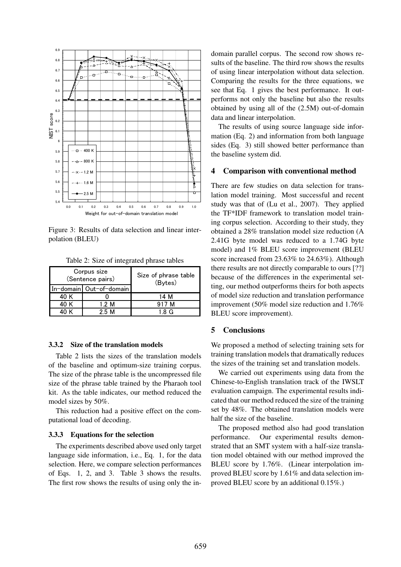

Figure 3: Results of data selection and linear interpolation (BLEU)

Table 2: Size of integrated phrase tables

|      | Corpus size<br>(Sentence pairs) | Size of phrase table<br>(Bytes) |  |
|------|---------------------------------|---------------------------------|--|
|      | In-domain Out-of-domain         |                                 |  |
| 40 K |                                 | 14 M                            |  |
| 40 K | 1.2 M                           | 917 M                           |  |
|      | 25 M                            |                                 |  |

#### 3.3.2 Size of the translation models

Table 2 lists the sizes of the translation models of the baseline and optimum-size training corpus. The size of the phrase table is the uncompressed file size of the phrase table trained by the Pharaoh tool kit. As the table indicates, our method reduced the model sizes by 50%.

This reduction had a positive effect on the computational load of decoding.

#### 3.3.3 Equations for the selection

The experiments described above used only target language side information, i.e., Eq. 1, for the data selection. Here, we compare selection performances of Eqs. 1, 2, and 3. Table 3 shows the results. The first row shows the results of using only the indomain parallel corpus. The second row shows results of the baseline. The third row shows the results of using linear interpolation without data selection. Comparing the results for the three equations, we see that Eq. 1 gives the best performance. It outperforms not only the baseline but also the results obtained by using all of the (2.5M) out-of-domain data and linear interpolation.

The results of using source language side information (Eq. 2) and information from both language sides (Eq. 3) still showed better performance than the baseline system did.

#### 4 Comparison with conventional method

There are few studies on data selection for translation model training. Most successful and recent study was that of (Lu et al., 2007). They applied the TF\*IDF framework to translation model training corpus selection. According to their study, they obtained a 28% translation model size reduction (A 2.41G byte model was reduced to a 1.74G byte model) and 1% BLEU score improvement (BLEU score increased from 23.63% to 24.63%). Although there results are not directly comparable to ours [??] because of the differences in the experimental setting, our method outperforms theirs for both aspects of model size reduction and translation performance improvement (50% model size reduction and 1.76% BLEU score improvement).

#### 5 Conclusions

We proposed a method of selecting training sets for training translation models that dramatically reduces the sizes of the training set and translation models.

We carried out experiments using data from the Chinese-to-English translation track of the IWSLT evaluation campaign. The experimental results indicated that our method reduced the size of the training set by 48%. The obtained translation models were half the size of the baseline.

The proposed method also had good translation performance. Our experimental results demonstrated that an SMT system with a half-size translation model obtained with our method improved the BLEU score by 1.76%. (Linear interpolation improved BLEU score by 1.61% and data selection improved BLEU score by an additional 0.15%.)